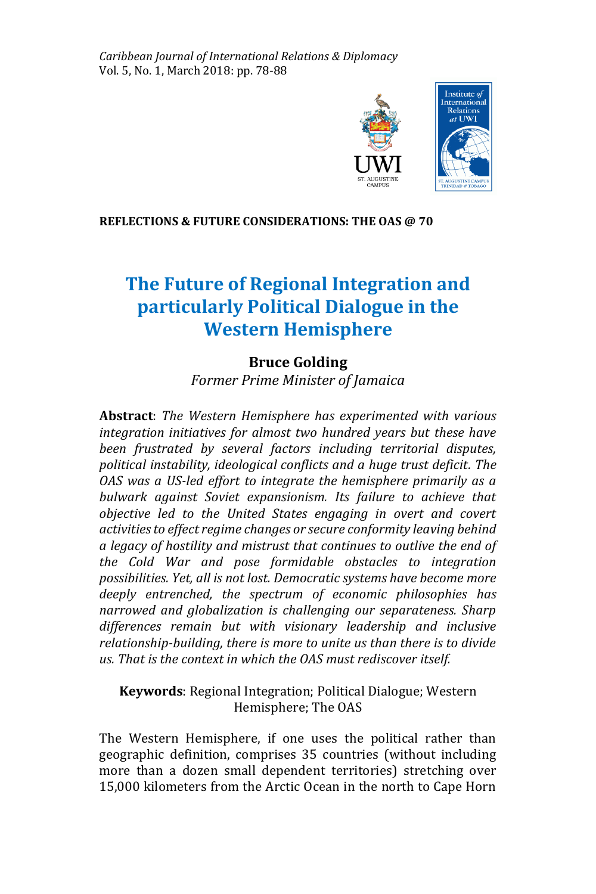*Caribbean Journal of International Relations & Diplomacy* Vol. 5, No. 1, March 2018: pp. 78-88



#### **REFLECTIONS & FUTURE CONSIDERATIONS: THE OAS @ 70**

# **The Future of Regional Integration and particularly Political Dialogue in the Western Hemisphere**

# **Bruce Golding**

*Former Prime Minister of Jamaica* 

**Abstract**: *The Western Hemisphere has experimented with various integration initiatives for almost two hundred years but these have been frustrated by several factors including territorial disputes, political instability, ideological conflicts and a huge trust deficit. The OAS was a US-led effort to integrate the hemisphere primarily as a bulwark against Soviet expansionism. Its failure to achieve that objective led to the United States engaging in overt and covert activities to effect regime changes or secure conformity leaving behind a legacy of hostility and mistrust that continues to outlive the end of the Cold War and pose formidable obstacles to integration possibilities. Yet, all is not lost. Democratic systems have become more deeply entrenched, the spectrum of economic philosophies has narrowed and globalization is challenging our separateness. Sharp differences remain but with visionary leadership and inclusive relationship-building, there is more to unite us than there is to divide us. That is the context in which the OAS must rediscover itself.* 

### **Keywords**: Regional Integration; Political Dialogue; Western Hemisphere; The OAS

The Western Hemisphere, if one uses the political rather than geographic definition, comprises 35 countries (without including more than a dozen small dependent territories) stretching over 15,000 kilometers from the Arctic Ocean in the north to Cape Horn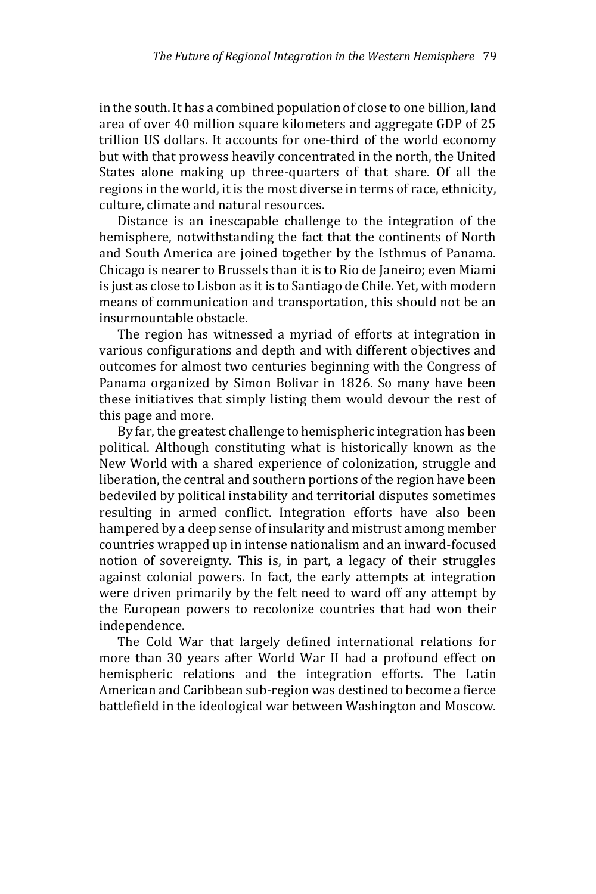in the south. It has a combined population of close to one billion, land area of over 40 million square kilometers and aggregate GDP of 25 trillion US dollars. It accounts for one-third of the world economy but with that prowess heavily concentrated in the north, the United States alone making up three-quarters of that share. Of all the regions in the world, it is the most diverse in terms of race, ethnicity, culture, climate and natural resources.

 Distance is an inescapable challenge to the integration of the hemisphere, notwithstanding the fact that the continents of North and South America are joined together by the Isthmus of Panama. Chicago is nearer to Brussels than it is to Rio de Janeiro; even Miami is just as close to Lisbon as it is to Santiago de Chile. Yet, with modern means of communication and transportation, this should not be an insurmountable obstacle.

 The region has witnessed a myriad of efforts at integration in various configurations and depth and with different objectives and outcomes for almost two centuries beginning with the Congress of Panama organized by Simon Bolivar in 1826. So many have been these initiatives that simply listing them would devour the rest of this page and more.

 By far, the greatest challenge to hemispheric integration has been political. Although constituting what is historically known as the New World with a shared experience of colonization, struggle and liberation, the central and southern portions of the region have been bedeviled by political instability and territorial disputes sometimes resulting in armed conflict. Integration efforts have also been hampered by a deep sense of insularity and mistrust among member countries wrapped up in intense nationalism and an inward-focused notion of sovereignty. This is, in part, a legacy of their struggles against colonial powers. In fact, the early attempts at integration were driven primarily by the felt need to ward off any attempt by the European powers to recolonize countries that had won their independence.

 The Cold War that largely defined international relations for more than 30 years after World War II had a profound effect on hemispheric relations and the integration efforts. The Latin American and Caribbean sub-region was destined to become a fierce battlefield in the ideological war between Washington and Moscow.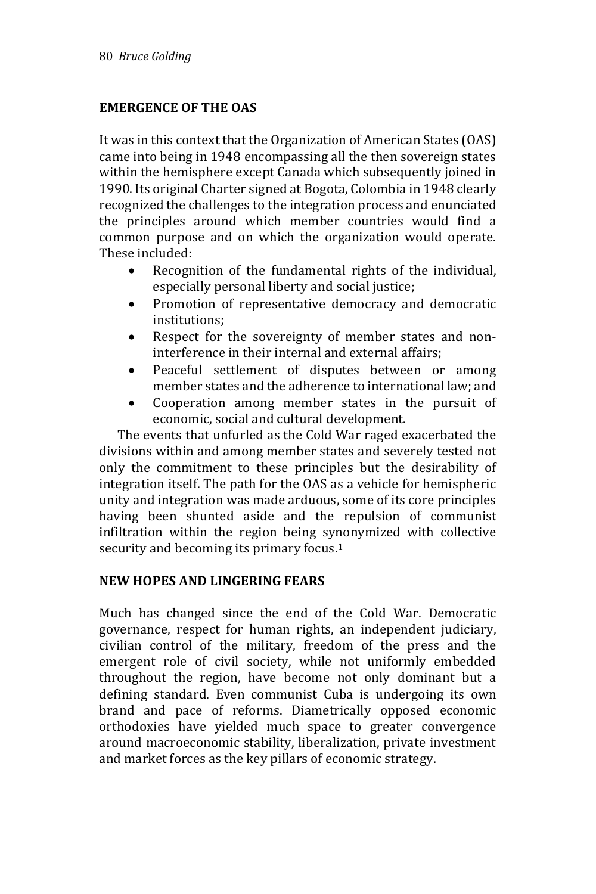# **EMERGENCE OF THE OAS**

It was in this context that the Organization of American States (OAS) came into being in 1948 encompassing all the then sovereign states within the hemisphere except Canada which subsequently joined in 1990. Its original Charter signed at Bogota, Colombia in 1948 clearly recognized the challenges to the integration process and enunciated the principles around which member countries would find a common purpose and on which the organization would operate. These included:

- Recognition of the fundamental rights of the individual, especially personal liberty and social justice;
- Promotion of representative democracy and democratic institutions;
- Respect for the sovereignty of member states and noninterference in their internal and external affairs;
- Peaceful settlement of disputes between or among member states and the adherence to international law; and
- Cooperation among member states in the pursuit of economic, social and cultural development.

 The events that unfurled as the Cold War raged exacerbated the divisions within and among member states and severely tested not only the commitment to these principles but the desirability of integration itself. The path for the OAS as a vehicle for hemispheric unity and integration was made arduous, some of its core principles having been shunted aside and the repulsion of communist infiltration within the region being synonymized with collective security and becoming its primary focus.<sup>1</sup>

### **NEW HOPES AND LINGERING FEARS**

Much has changed since the end of the Cold War. Democratic governance, respect for human rights, an independent judiciary, civilian control of the military, freedom of the press and the emergent role of civil society, while not uniformly embedded throughout the region, have become not only dominant but a defining standard. Even communist Cuba is undergoing its own brand and pace of reforms. Diametrically opposed economic orthodoxies have yielded much space to greater convergence around macroeconomic stability, liberalization, private investment and market forces as the key pillars of economic strategy.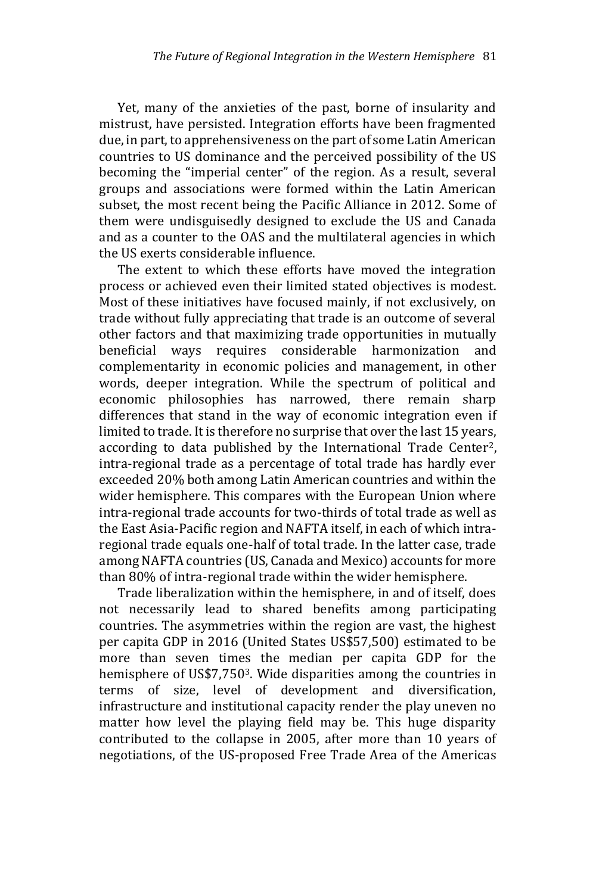Yet, many of the anxieties of the past, borne of insularity and mistrust, have persisted. Integration efforts have been fragmented due, in part, to apprehensiveness on the part of some Latin American countries to US dominance and the perceived possibility of the US becoming the "imperial center" of the region. As a result, several groups and associations were formed within the Latin American subset, the most recent being the Pacific Alliance in 2012. Some of them were undisguisedly designed to exclude the US and Canada and as a counter to the OAS and the multilateral agencies in which the US exerts considerable influence.

 The extent to which these efforts have moved the integration process or achieved even their limited stated objectives is modest. Most of these initiatives have focused mainly, if not exclusively, on trade without fully appreciating that trade is an outcome of several other factors and that maximizing trade opportunities in mutually beneficial ways requires considerable harmonization and complementarity in economic policies and management, in other words, deeper integration. While the spectrum of political and economic philosophies has narrowed, there remain sharp differences that stand in the way of economic integration even if limited to trade. It is therefore no surprise that over the last 15 years, according to data published by the International Trade Center<sup>2</sup>, intra-regional trade as a percentage of total trade has hardly ever exceeded 20% both among Latin American countries and within the wider hemisphere. This compares with the European Union where intra-regional trade accounts for two-thirds of total trade as well as the East Asia-Pacific region and NAFTA itself, in each of which intraregional trade equals one-half of total trade. In the latter case, trade among NAFTA countries (US, Canada and Mexico) accounts for more than 80% of intra-regional trade within the wider hemisphere.

 Trade liberalization within the hemisphere, in and of itself, does not necessarily lead to shared benefits among participating countries. The asymmetries within the region are vast, the highest per capita GDP in 2016 (United States US\$57,500) estimated to be more than seven times the median per capita GDP for the hemisphere of US\$7,750<sup>3</sup>. Wide disparities among the countries in terms of size, level of development and diversification, infrastructure and institutional capacity render the play uneven no matter how level the playing field may be. This huge disparity contributed to the collapse in 2005, after more than 10 years of negotiations, of the US-proposed Free Trade Area of the Americas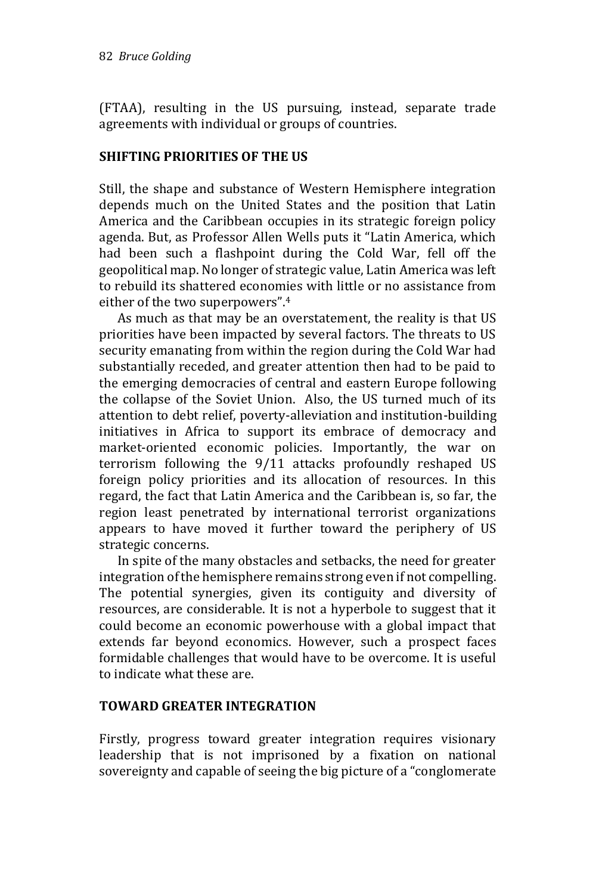(FTAA), resulting in the US pursuing, instead, separate trade agreements with individual or groups of countries.

## **SHIFTING PRIORITIES OF THE US**

Still, the shape and substance of Western Hemisphere integration depends much on the United States and the position that Latin America and the Caribbean occupies in its strategic foreign policy agenda. But, as Professor Allen Wells puts it "Latin America, which had been such a flashpoint during the Cold War, fell off the geopolitical map. No longer of strategic value, Latin America was left to rebuild its shattered economies with little or no assistance from either of the two superpowers".<sup>4</sup>

 As much as that may be an overstatement, the reality is that US priorities have been impacted by several factors. The threats to US security emanating from within the region during the Cold War had substantially receded, and greater attention then had to be paid to the emerging democracies of central and eastern Europe following the collapse of the Soviet Union. Also, the US turned much of its attention to debt relief, poverty-alleviation and institution-building initiatives in Africa to support its embrace of democracy and market-oriented economic policies. Importantly, the war on terrorism following the 9/11 attacks profoundly reshaped US foreign policy priorities and its allocation of resources. In this regard, the fact that Latin America and the Caribbean is, so far, the region least penetrated by international terrorist organizations appears to have moved it further toward the periphery of US strategic concerns.

 In spite of the many obstacles and setbacks, the need for greater integration of the hemisphere remains strong even if not compelling. The potential synergies, given its contiguity and diversity of resources, are considerable. It is not a hyperbole to suggest that it could become an economic powerhouse with a global impact that extends far beyond economics. However, such a prospect faces formidable challenges that would have to be overcome. It is useful to indicate what these are.

### **TOWARD GREATER INTEGRATION**

Firstly, progress toward greater integration requires visionary leadership that is not imprisoned by a fixation on national sovereignty and capable of seeing the big picture of a "conglomerate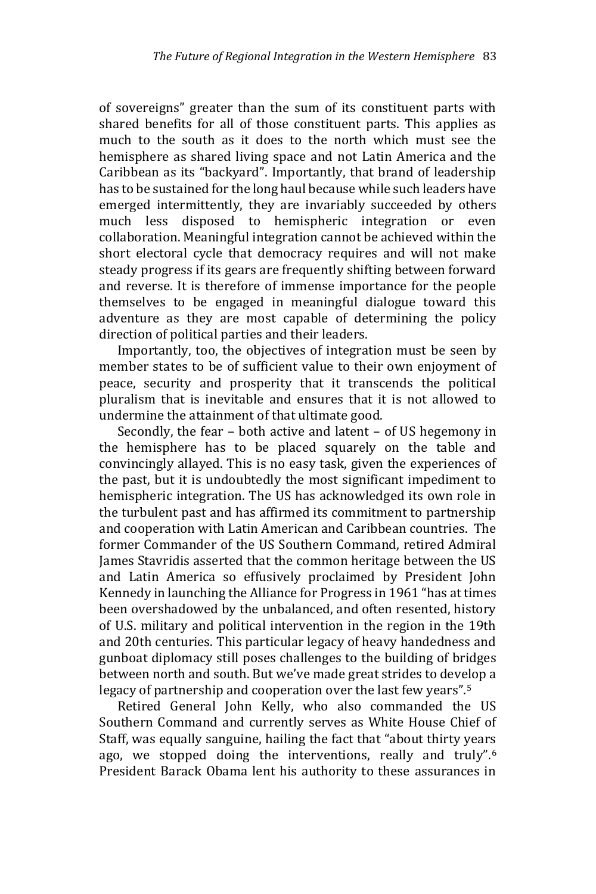of sovereigns" greater than the sum of its constituent parts with shared benefits for all of those constituent parts. This applies as much to the south as it does to the north which must see the hemisphere as shared living space and not Latin America and the Caribbean as its "backyard". Importantly, that brand of leadership has to be sustained for the long haul because while such leaders have emerged intermittently, they are invariably succeeded by others much less disposed to hemispheric integration or even collaboration. Meaningful integration cannot be achieved within the short electoral cycle that democracy requires and will not make steady progress if its gears are frequently shifting between forward and reverse. It is therefore of immense importance for the people themselves to be engaged in meaningful dialogue toward this adventure as they are most capable of determining the policy direction of political parties and their leaders.

 Importantly, too, the objectives of integration must be seen by member states to be of sufficient value to their own enjoyment of peace, security and prosperity that it transcends the political pluralism that is inevitable and ensures that it is not allowed to undermine the attainment of that ultimate good.

 Secondly, the fear – both active and latent – of US hegemony in the hemisphere has to be placed squarely on the table and convincingly allayed. This is no easy task, given the experiences of the past, but it is undoubtedly the most significant impediment to hemispheric integration. The US has acknowledged its own role in the turbulent past and has affirmed its commitment to partnership and cooperation with Latin American and Caribbean countries. The former Commander of the US Southern Command, retired Admiral James Stavridis asserted that the common heritage between the US and Latin America so effusively proclaimed by President John Kennedy in launching the Alliance for Progress in 1961 "has at times been overshadowed by the unbalanced, and often resented, history of U.S. military and political intervention in the region in the 19th and 20th centuries. This particular legacy of heavy handedness and gunboat diplomacy still poses challenges to the building of bridges between north and south. But we've made great strides to develop a legacy of partnership and cooperation over the last few years".<sup>5</sup>

 Retired General John Kelly, who also commanded the US Southern Command and currently serves as White House Chief of Staff, was equally sanguine, hailing the fact that "about thirty years ago, we stopped doing the interventions, really and truly".<sup>6</sup> President Barack Obama lent his authority to these assurances in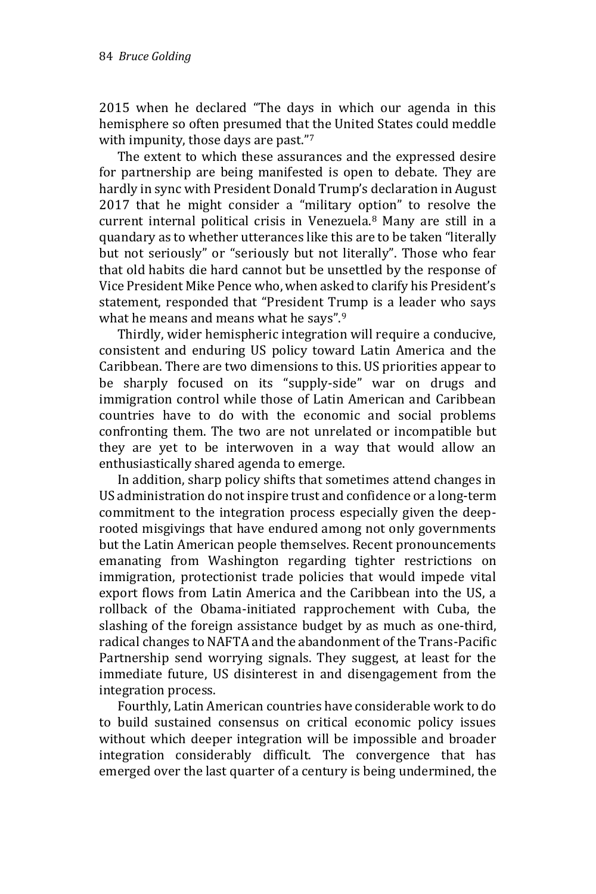2015 when he declared "The days in which our agenda in this hemisphere so often presumed that the United States could meddle with impunity, those days are past."7

 The extent to which these assurances and the expressed desire for partnership are being manifested is open to debate. They are hardly in sync with President Donald Trump's declaration in August 2017 that he might consider a "military option" to resolve the current internal political crisis in Venezuela.<sup>8</sup> Many are still in a quandary as to whether utterances like this are to be taken "literally but not seriously" or "seriously but not literally". Those who fear that old habits die hard cannot but be unsettled by the response of Vice President Mike Pence who, when asked to clarify his President's statement, responded that "President Trump is a leader who says what he means and means what he says".<sup>9</sup>

 Thirdly, wider hemispheric integration will require a conducive, consistent and enduring US policy toward Latin America and the Caribbean. There are two dimensions to this. US priorities appear to be sharply focused on its "supply-side" war on drugs and immigration control while those of Latin American and Caribbean countries have to do with the economic and social problems confronting them. The two are not unrelated or incompatible but they are yet to be interwoven in a way that would allow an enthusiastically shared agenda to emerge.

 In addition, sharp policy shifts that sometimes attend changes in US administration do not inspire trust and confidence or a long-term commitment to the integration process especially given the deeprooted misgivings that have endured among not only governments but the Latin American people themselves. Recent pronouncements emanating from Washington regarding tighter restrictions on immigration, protectionist trade policies that would impede vital export flows from Latin America and the Caribbean into the US, a rollback of the Obama-initiated rapprochement with Cuba, the slashing of the foreign assistance budget by as much as one-third, radical changes to NAFTA and the abandonment of the Trans-Pacific Partnership send worrying signals. They suggest, at least for the immediate future, US disinterest in and disengagement from the integration process.

 Fourthly, Latin American countries have considerable work to do to build sustained consensus on critical economic policy issues without which deeper integration will be impossible and broader integration considerably difficult. The convergence that has emerged over the last quarter of a century is being undermined, the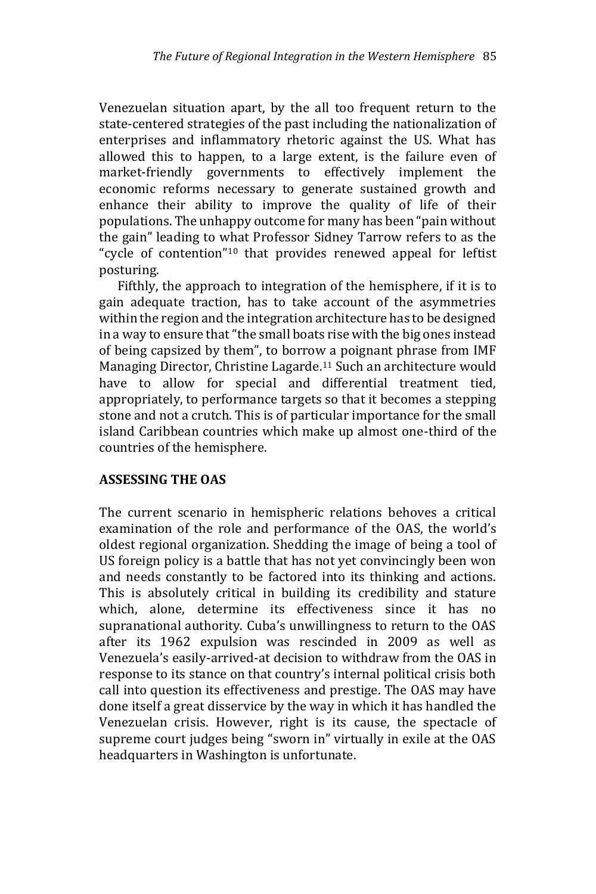Venezuelan situation apart, by the all too frequent return to the state-centered strategies of the past including the nationalization of enterprises and inflammatory rhetoric against the US. What has allowed this to happen, to a large extent, is the failure even of market-friendly governments to effectively implement the economic reforms necessary to generate sustained growth and enhance their ability to improve the quality of life of their populations. The unhappy outcome for many has been "pain without the gain" leading to what Professor Sidney Tarrow refers to as the "cycle of contention"<sup>10</sup> that provides renewed appeal for leftist posturing.

 Fifthly, the approach to integration of the hemisphere, if it is to gain adequate traction, has to take account of the asymmetries within the region and the integration architecture has to be designed in a way to ensure that "the small boats rise with the big ones instead of being capsized by them", to borrow a poignant phrase from IMF Managing Director, Christine Lagarde.<sup>11</sup> Such an architecture would have to allow for special and differential treatment tied, appropriately, to performance targets so that it becomes a stepping stone and not a crutch. This is of particular importance for the small island Caribbean countries which make up almost one-third of the countries of the hemisphere.

# **ASSESSING THE OAS**

The current scenario in hemispheric relations behoves a critical examination of the role and performance of the OAS, the world's oldest regional organization. Shedding the image of being a tool of US foreign policy is a battle that has not yet convincingly been won and needs constantly to be factored into its thinking and actions. This is absolutely critical in building its credibility and stature which, alone, determine its effectiveness since it has no supranational authority. Cuba's unwillingness to return to the OAS after its 1962 expulsion was rescinded in 2009 as well as Venezuela's easily-arrived-at decision to withdraw from the OAS in response to its stance on that country's internal political crisis both call into question its effectiveness and prestige. The OAS may have done itself a great disservice by the way in which it has handled the Venezuelan crisis. However, right is its cause, the spectacle of supreme court judges being "sworn in" virtually in exile at the OAS headquarters in Washington is unfortunate.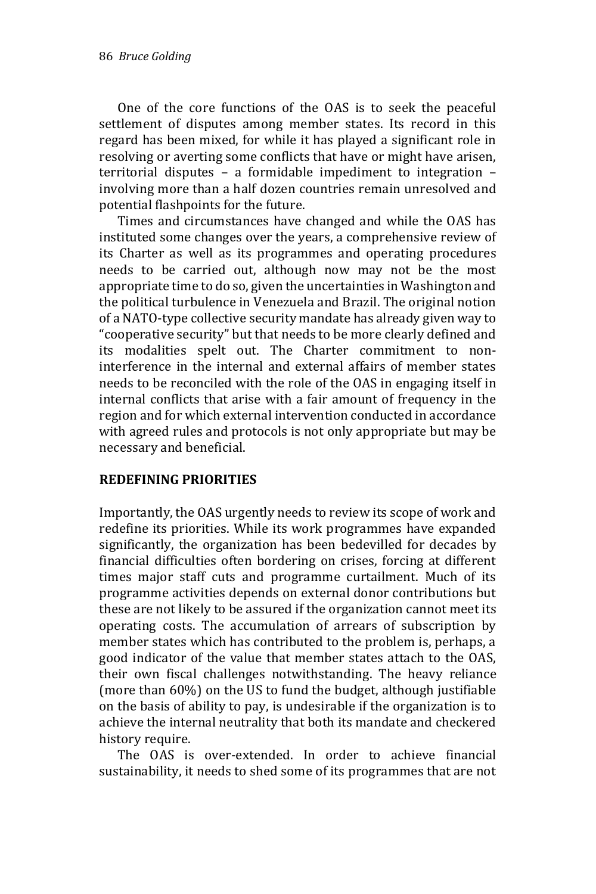One of the core functions of the OAS is to seek the peaceful settlement of disputes among member states. Its record in this regard has been mixed, for while it has played a significant role in resolving or averting some conflicts that have or might have arisen, territorial disputes – a formidable impediment to integration – involving more than a half dozen countries remain unresolved and potential flashpoints for the future.

 Times and circumstances have changed and while the OAS has instituted some changes over the years, a comprehensive review of its Charter as well as its programmes and operating procedures needs to be carried out, although now may not be the most appropriate time to do so, given the uncertainties in Washington and the political turbulence in Venezuela and Brazil. The original notion of a NATO-type collective security mandate has already given way to "cooperative security" but that needs to be more clearly defined and its modalities spelt out. The Charter commitment to noninterference in the internal and external affairs of member states needs to be reconciled with the role of the OAS in engaging itself in internal conflicts that arise with a fair amount of frequency in the region and for which external intervention conducted in accordance with agreed rules and protocols is not only appropriate but may be necessary and beneficial.

#### **REDEFINING PRIORITIES**

Importantly, the OAS urgently needs to review its scope of work and redefine its priorities. While its work programmes have expanded significantly, the organization has been bedevilled for decades by financial difficulties often bordering on crises, forcing at different times major staff cuts and programme curtailment. Much of its programme activities depends on external donor contributions but these are not likely to be assured if the organization cannot meet its operating costs. The accumulation of arrears of subscription by member states which has contributed to the problem is, perhaps, a good indicator of the value that member states attach to the OAS, their own fiscal challenges notwithstanding. The heavy reliance (more than 60%) on the US to fund the budget, although justifiable on the basis of ability to pay, is undesirable if the organization is to achieve the internal neutrality that both its mandate and checkered history require.

 The OAS is over-extended. In order to achieve financial sustainability, it needs to shed some of its programmes that are not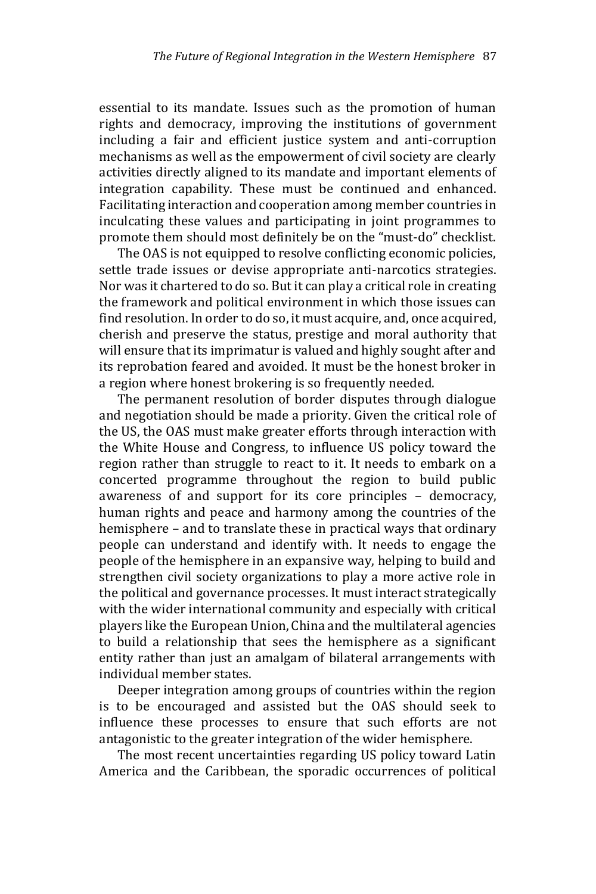essential to its mandate. Issues such as the promotion of human rights and democracy, improving the institutions of government including a fair and efficient justice system and anti-corruption mechanisms as well as the empowerment of civil society are clearly activities directly aligned to its mandate and important elements of integration capability. These must be continued and enhanced. Facilitating interaction and cooperation among member countries in inculcating these values and participating in joint programmes to promote them should most definitely be on the "must-do" checklist.

 The OAS is not equipped to resolve conflicting economic policies, settle trade issues or devise appropriate anti-narcotics strategies. Nor was it chartered to do so. But it can play a critical role in creating the framework and political environment in which those issues can find resolution. In order to do so, it must acquire, and, once acquired, cherish and preserve the status, prestige and moral authority that will ensure that its imprimatur is valued and highly sought after and its reprobation feared and avoided. It must be the honest broker in a region where honest brokering is so frequently needed.

 The permanent resolution of border disputes through dialogue and negotiation should be made a priority. Given the critical role of the US, the OAS must make greater efforts through interaction with the White House and Congress, to influence US policy toward the region rather than struggle to react to it. It needs to embark on a concerted programme throughout the region to build public awareness of and support for its core principles – democracy, human rights and peace and harmony among the countries of the hemisphere – and to translate these in practical ways that ordinary people can understand and identify with. It needs to engage the people of the hemisphere in an expansive way, helping to build and strengthen civil society organizations to play a more active role in the political and governance processes. It must interact strategically with the wider international community and especially with critical players like the European Union, China and the multilateral agencies to build a relationship that sees the hemisphere as a significant entity rather than just an amalgam of bilateral arrangements with individual member states.

 Deeper integration among groups of countries within the region is to be encouraged and assisted but the OAS should seek to influence these processes to ensure that such efforts are not antagonistic to the greater integration of the wider hemisphere.

 The most recent uncertainties regarding US policy toward Latin America and the Caribbean, the sporadic occurrences of political